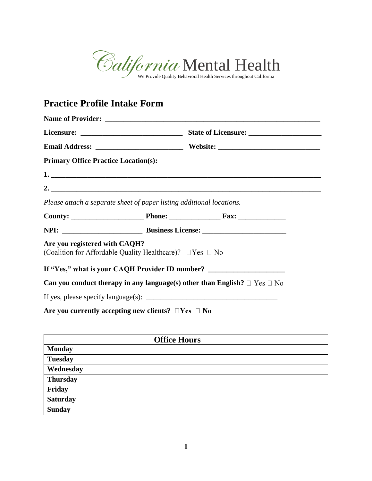

# **Practice Profile Intake Form**

| <b>Primary Office Practice Location(s):</b>                                                                |                                                                                     |
|------------------------------------------------------------------------------------------------------------|-------------------------------------------------------------------------------------|
|                                                                                                            |                                                                                     |
|                                                                                                            | 2. $\overline{\phantom{a}}$                                                         |
| Please attach a separate sheet of paper listing additional locations.                                      |                                                                                     |
|                                                                                                            |                                                                                     |
|                                                                                                            |                                                                                     |
| Are you registered with CAQH?<br>(Coalition for Affordable Quality Healthcare)? $\square$ Yes $\square$ No |                                                                                     |
|                                                                                                            | If "Yes," what is your CAQH Provider ID number? ________________________________    |
|                                                                                                            | Can you conduct therapy in any language(s) other than English? $\Box$ Yes $\Box$ No |
|                                                                                                            |                                                                                     |
| Are you currently accepting new clients? $\square$ Yes $\square$ No                                        |                                                                                     |

| <b>Office Hours</b> |  |  |
|---------------------|--|--|
| <b>Monday</b>       |  |  |
| <b>Tuesday</b>      |  |  |
| Wednesday           |  |  |
| <b>Thursday</b>     |  |  |
| Friday              |  |  |
| <b>Saturday</b>     |  |  |
| <b>Sunday</b>       |  |  |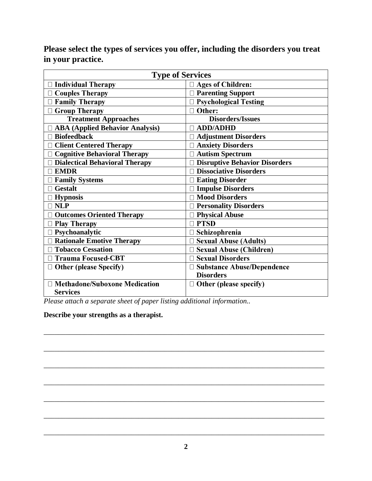**Please select the types of services you offer, including the disorders you treat in your practice.**

| <b>Type of Services</b>                |                                      |
|----------------------------------------|--------------------------------------|
| Individual Therapy                     | $\Box$ Ages of Children:             |
| $\Box$ Couples Therapy                 | □ Parenting Support                  |
| $\Box$ Family Therapy                  | □ Psychological Testing              |
| $\Box$ Group Therapy                   | □ Other:                             |
| <b>Treatment Approaches</b>            | <b>Disorders/Issues</b>              |
| <b>ABA (Applied Behavior Analysis)</b> | <b>ADD/ADHD</b>                      |
| <b>Biofeedback</b>                     | <b>Adjustment Disorders</b>          |
| <b>Client Centered Therapy</b>         | <b>Anxiety Disorders</b>             |
| <b>Cognitive Behavioral Therapy</b>    | <b>Autism Spectrum</b>               |
| <b>Dialectical Behavioral Therapy</b>  | <b>Disruptive Behavior Disorders</b> |
| <b>EMDR</b>                            | <b>Dissociative Disorders</b>        |
| <b>Family Systems</b>                  | <b>Eating Disorder</b>               |
| <b>Gestalt</b>                         | <b>Impulse Disorders</b>             |
| <b>Hypnosis</b>                        | Mood Disorders                       |
| <b>NLP</b>                             | <b>Personality Disorders</b>         |
| <b>Outcomes Oriented Therapy</b>       | <b>Physical Abuse</b>                |
| <b>Play Therapy</b>                    | $\Box$ PTSD                          |
| $\Box$ Psychoanalytic                  | $\Box$ Schizophrenia                 |
| <b>Rationale Emotive Therapy</b>       | <b>Sexual Abuse (Adults)</b>         |
| <b>Tobacco Cessation</b>               | □ Sexual Abuse (Children)            |
| <b>Trauma Focused-CBT</b>              | □ Sexual Disorders                   |
| $\Box$ Other (please Specify)          | □ Substance Abuse/Dependence         |
|                                        | <b>Disorders</b>                     |
| □ Methadone/Suboxone Medication        | $\Box$ Other (please specify)        |
| <b>Services</b>                        |                                      |

*Please attach a separate sheet of paper listing additional information..*

## **Describe your strengths as a therapist.**

\_\_\_\_\_\_\_\_\_\_\_\_\_\_\_\_\_\_\_\_\_\_\_\_\_\_\_\_\_\_\_\_\_\_\_\_\_\_\_\_\_\_\_\_\_\_\_\_\_\_\_\_\_\_\_\_\_\_\_\_\_\_\_\_\_\_\_\_\_\_\_\_\_\_\_\_\_

\_\_\_\_\_\_\_\_\_\_\_\_\_\_\_\_\_\_\_\_\_\_\_\_\_\_\_\_\_\_\_\_\_\_\_\_\_\_\_\_\_\_\_\_\_\_\_\_\_\_\_\_\_\_\_\_\_\_\_\_\_\_\_\_\_\_\_\_\_\_\_\_\_\_\_\_\_

\_\_\_\_\_\_\_\_\_\_\_\_\_\_\_\_\_\_\_\_\_\_\_\_\_\_\_\_\_\_\_\_\_\_\_\_\_\_\_\_\_\_\_\_\_\_\_\_\_\_\_\_\_\_\_\_\_\_\_\_\_\_\_\_\_\_\_\_\_\_\_\_\_\_\_\_\_

\_\_\_\_\_\_\_\_\_\_\_\_\_\_\_\_\_\_\_\_\_\_\_\_\_\_\_\_\_\_\_\_\_\_\_\_\_\_\_\_\_\_\_\_\_\_\_\_\_\_\_\_\_\_\_\_\_\_\_\_\_\_\_\_\_\_\_\_\_\_\_\_\_\_\_\_\_

\_\_\_\_\_\_\_\_\_\_\_\_\_\_\_\_\_\_\_\_\_\_\_\_\_\_\_\_\_\_\_\_\_\_\_\_\_\_\_\_\_\_\_\_\_\_\_\_\_\_\_\_\_\_\_\_\_\_\_\_\_\_\_\_\_\_\_\_\_\_\_\_\_\_\_\_\_

\_\_\_\_\_\_\_\_\_\_\_\_\_\_\_\_\_\_\_\_\_\_\_\_\_\_\_\_\_\_\_\_\_\_\_\_\_\_\_\_\_\_\_\_\_\_\_\_\_\_\_\_\_\_\_\_\_\_\_\_\_\_\_\_\_\_\_\_\_\_\_\_\_\_\_\_\_

\_\_\_\_\_\_\_\_\_\_\_\_\_\_\_\_\_\_\_\_\_\_\_\_\_\_\_\_\_\_\_\_\_\_\_\_\_\_\_\_\_\_\_\_\_\_\_\_\_\_\_\_\_\_\_\_\_\_\_\_\_\_\_\_\_\_\_\_\_\_\_\_\_\_\_\_\_